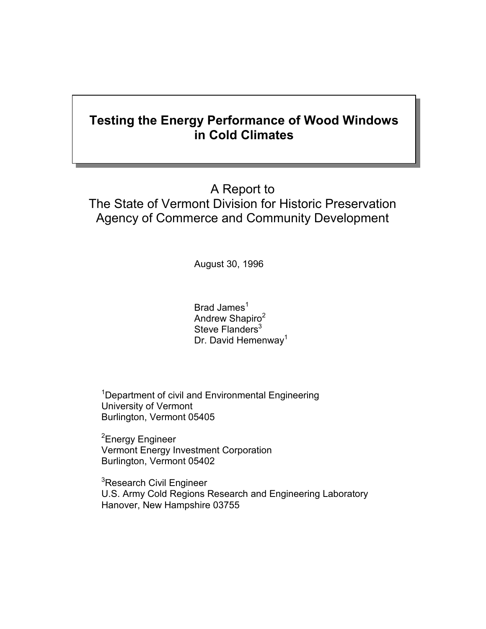## **Testing the Energy Performance of Wood Windows in Cold Climates**

## A Report to The State of Vermont Division for Historic Preservation Agency of Commerce and Community Development

August 30, 1996

Brad James $<sup>1</sup>$ </sup> Andrew Shapiro<sup>2</sup> Steve Flanders<sup>3</sup> Dr. David Hemenway<sup>1</sup>

<sup>1</sup>Department of civil and Environmental Engineering University of Vermont Burlington, Vermont 05405

<sup>2</sup>Energy Engineer Vermont Energy Investment Corporation Burlington, Vermont 05402

<sup>3</sup>Research Civil Engineer U.S. Army Cold Regions Research and Engineering Laboratory Hanover, New Hampshire 03755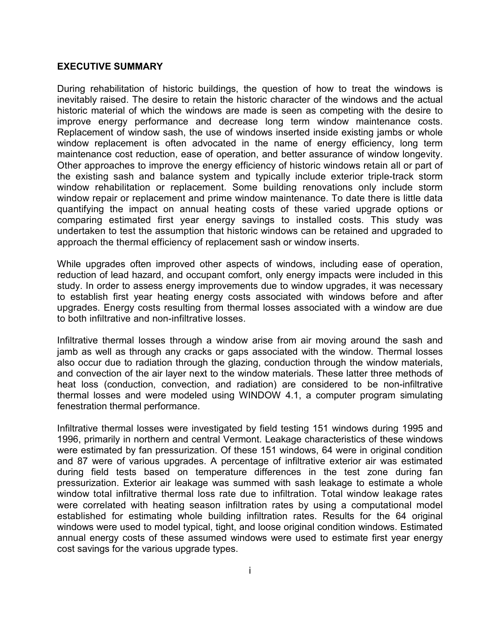## **EXECUTIVE SUMMARY**

During rehabilitation of historic buildings, the question of how to treat the windows is inevitably raised. The desire to retain the historic character of the windows and the actual historic material of which the windows are made is seen as competing with the desire to improve energy performance and decrease long term window maintenance costs. Replacement of window sash, the use of windows inserted inside existing jambs or whole window replacement is often advocated in the name of energy efficiency, long term maintenance cost reduction, ease of operation, and better assurance of window longevity. Other approaches to improve the energy efficiency of historic windows retain all or part of the existing sash and balance system and typically include exterior triple-track storm window rehabilitation or replacement. Some building renovations only include storm window repair or replacement and prime window maintenance. To date there is little data quantifying the impact on annual heating costs of these varied upgrade options or comparing estimated first year energy savings to installed costs. This study was undertaken to test the assumption that historic windows can be retained and upgraded to approach the thermal efficiency of replacement sash or window inserts.

While upgrades often improved other aspects of windows, including ease of operation, reduction of lead hazard, and occupant comfort, only energy impacts were included in this study. In order to assess energy improvements due to window upgrades, it was necessary to establish first year heating energy costs associated with windows before and after upgrades. Energy costs resulting from thermal losses associated with a window are due to both infiltrative and non-infiltrative losses.

Infiltrative thermal losses through a window arise from air moving around the sash and jamb as well as through any cracks or gaps associated with the window. Thermal losses also occur due to radiation through the glazing, conduction through the window materials, and convection of the air layer next to the window materials. These latter three methods of heat loss (conduction, convection, and radiation) are considered to be non-infiltrative thermal losses and were modeled using WINDOW 4.1, a computer program simulating fenestration thermal performance.

Infiltrative thermal losses were investigated by field testing 151 windows during 1995 and 1996, primarily in northern and central Vermont. Leakage characteristics of these windows were estimated by fan pressurization. Of these 151 windows, 64 were in original condition and 87 were of various upgrades. A percentage of infiltrative exterior air was estimated during field tests based on temperature differences in the test zone during fan pressurization. Exterior air leakage was summed with sash leakage to estimate a whole window total infiltrative thermal loss rate due to infiltration. Total window leakage rates were correlated with heating season infiltration rates by using a computational model established for estimating whole building infiltration rates. Results for the 64 original windows were used to model typical, tight, and loose original condition windows. Estimated annual energy costs of these assumed windows were used to estimate first year energy cost savings for the various upgrade types.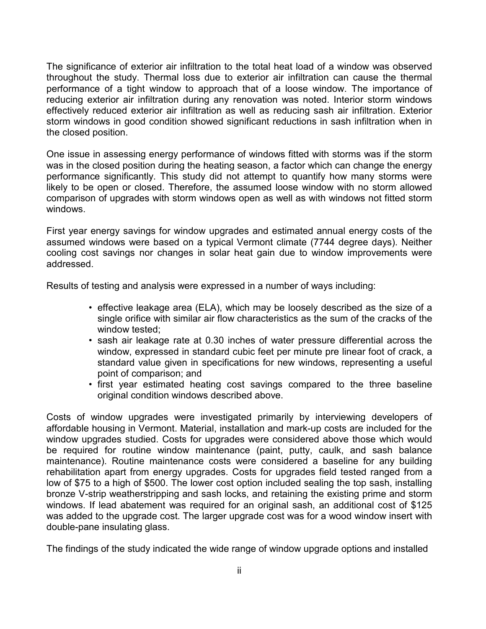The significance of exterior air infiltration to the total heat load of a window was observed throughout the study. Thermal loss due to exterior air infiltration can cause the thermal performance of a tight window to approach that of a loose window. The importance of reducing exterior air infiltration during any renovation was noted. Interior storm windows effectively reduced exterior air infiltration as well as reducing sash air infiltration. Exterior storm windows in good condition showed significant reductions in sash infiltration when in the closed position.

One issue in assessing energy performance of windows fitted with storms was if the storm was in the closed position during the heating season, a factor which can change the energy performance significantly. This study did not attempt to quantify how many storms were likely to be open or closed. Therefore, the assumed loose window with no storm allowed comparison of upgrades with storm windows open as well as with windows not fitted storm windows.

First year energy savings for window upgrades and estimated annual energy costs of the assumed windows were based on a typical Vermont climate (7744 degree days). Neither cooling cost savings nor changes in solar heat gain due to window improvements were addressed.

Results of testing and analysis were expressed in a number of ways including:

- effective leakage area (ELA), which may be loosely described as the size of a single orifice with similar air flow characteristics as the sum of the cracks of the window tested;
- sash air leakage rate at 0.30 inches of water pressure differential across the window, expressed in standard cubic feet per minute pre linear foot of crack, a standard value given in specifications for new windows, representing a useful point of comparison; and
- first year estimated heating cost savings compared to the three baseline original condition windows described above.

Costs of window upgrades were investigated primarily by interviewing developers of affordable housing in Vermont. Material, installation and mark-up costs are included for the window upgrades studied. Costs for upgrades were considered above those which would be required for routine window maintenance (paint, putty, caulk, and sash balance maintenance). Routine maintenance costs were considered a baseline for any building rehabilitation apart from energy upgrades. Costs for upgrades field tested ranged from a low of \$75 to a high of \$500. The lower cost option included sealing the top sash, installing bronze V-strip weatherstripping and sash locks, and retaining the existing prime and storm windows. If lead abatement was required for an original sash, an additional cost of \$125 was added to the upgrade cost. The larger upgrade cost was for a wood window insert with double-pane insulating glass.

The findings of the study indicated the wide range of window upgrade options and installed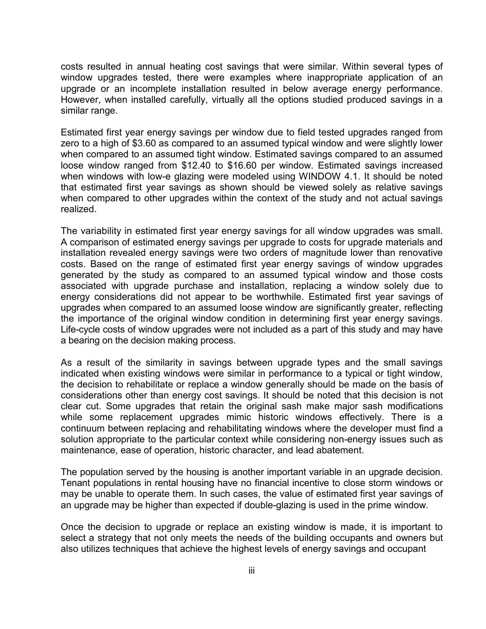costs resulted in annual heating cost savings that were similar. Within several types of window upgrades tested, there were examples where inappropriate application of an upgrade or an incomplete installation resulted in below average energy performance. However, when installed carefully, virtually all the options studied produced savings in a similar range.

Estimated first year energy savings per window due to field tested upgrades ranged from zero to a high of \$3.60 as compared to an assumed typical window and were slightly lower when compared to an assumed tight window. Estimated savings compared to an assumed loose window ranged from \$12.40 to \$16.60 per window. Estimated savings increased when windows with low-e glazing were modeled using WINDOW 4.1. It should be noted that estimated first year savings as shown should be viewed solely as relative savings when compared to other upgrades within the context of the study and not actual savings realized.

The variability in estimated first year energy savings for all window upgrades was small. A comparison of estimated energy savings per upgrade to costs for upgrade materials and installation revealed energy savings were two orders of magnitude lower than renovative costs. Based on the range of estimated first year energy savings of window upgrades generated by the study as compared to an assumed typical window and those costs associated with upgrade purchase and installation, replacing a window solely due to energy considerations did not appear to be worthwhile. Estimated first year savings of upgrades when compared to an assumed loose window are significantly greater, reflecting the importance of the original window condition in determining first year energy savings. Life-cycle costs of window upgrades were not included as a part of this study and may have a bearing on the decision making process.

As a result of the similarity in savings between upgrade types and the small savings indicated when existing windows were similar in performance to a typical or tight window, the decision to rehabilitate or replace a window generally should be made on the basis of considerations other than energy cost savings. It should be noted that this decision is not clear cut. Some upgrades that retain the original sash make major sash modifications while some replacement upgrades mimic historic windows effectively. There is a continuum between replacing and rehabilitating windows where the developer must find a solution appropriate to the particular context while considering non-energy issues such as maintenance, ease of operation, historic character, and lead abatement.

The population served by the housing is another important variable in an upgrade decision. Tenant populations in rental housing have no financial incentive to close storm windows or may be unable to operate them. In such cases, the value of estimated first year savings of an upgrade may be higher than expected if double-glazing is used in the prime window.

Once the decision to upgrade or replace an existing window is made, it is important to select a strategy that not only meets the needs of the building occupants and owners but also utilizes techniques that achieve the highest levels of energy savings and occupant